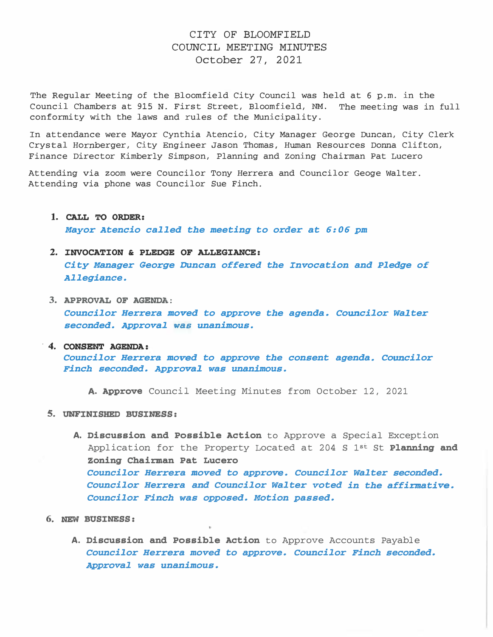## CITY OF BLOOMFIELD COUNCIL MEETING MINUTES October 27, 2021

The Regular Meeting of the Bloomfield City Council was held at 6 p.m. in the Council Chambers at 915 N. First Street, Bloomfield, NM. The meeting was in full conformity with the laws and rules of the Municipality.

In attendance were Mayor Cynthia Atencio, City Manager George Duncan, City Clerk Crystal Hornberger, City Engineer Jason Thomas, Human Resources Donna Clifton, Finance Director Kimberly Simpson, Planning and Zoning Chairman Pat Lucero

Attending via zoom were Councilor Tony Herrera and Councilor Geoge Walter. Attending via phone was Councilor Sue Finch.

1. CALL TO ORDER:

Mayor Atencio called the meeting to order at 6:06 pm

## 2. INVOCATION & PLEDGE OF ALLEGIANCE:

City Manager George Duncan offered the Invocation and Pledge of Allegiance.

3. APPROVAL OF AGENDA: councilor Herrera moved to approve the agenda. Councilor Wa1ter seconded. Approval was unanimous .

#### . 4. CONSENT AGENDA:

Councilor Herrera moved to approve the consent agenda. Councilor Finch seconded. Approval was unanimous.

A. Approve Council Meeting Minutes from October 12, 2021

- 5. UNFINISHED BUSINESS:
	- A. Discussion and Possible Action to Approve a Special Exception Application for the Property Located at 204 S  $1^{st}$  St Planning and Zoning Chairman Pat Lucero Councilor Herrera moved to approve. Councilor Walter seconded. Councilor Herrera and Councilor Walter voted in the affirmative. Councilor Finch was opposed. Motion passed.
- 6. NEW BUSINESS:
	- A. Discussion and Possible Action to Approve Accounts Payable Councilor Herrera moved to approve. Councilor Finch seconded. Approval was unanimous.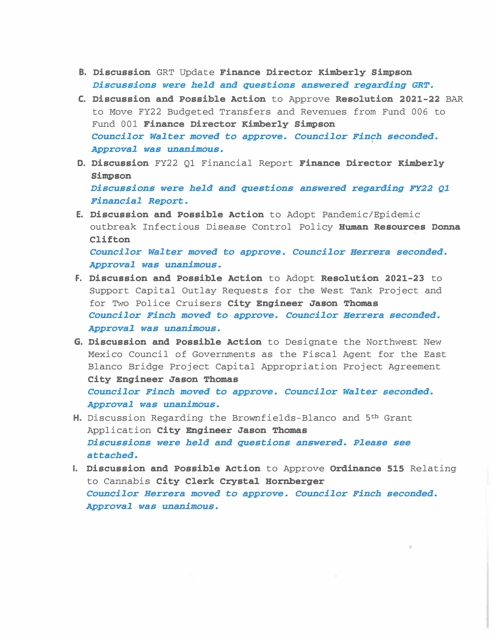- B. Discussion GRT Update Finance Director Kimberly Simpson Discussions were held and questions answered regarding GRT.
- C. Discussion and Possible Action to Approve Resolution 2021-22 BAR to Move FY22 Budgeted Transfers and Revenues from Fund 006 to Fund 001 Finance Director Kimberly Simpson Councilor Walter moved to approve. Councilor Finch seconded. I Approval was unanimous.
- D. Discussion FY22 01 Financial Report Finance Director Kimberly Simpson Discussions were held and questions answered regarding FY22 Q1 Financial Report.
- E. Discussion and Possible Action to Adopt Pandemic/Epidemic outbreak Infectious Disease Control Policy Human Resources Donna Clifton Councilor Walter moved to approve. Councilor Herrera seconded. Approval was unanimous.
- F. Discussion and Possible Action to Adopt Resolution 2021-23 to Support Capital Outlay Requests for the West Tank Project and for Two Police Cruisers City Engineer Jason Thomas Councilor Finch moved to approve. Councilor Herrera seconded. Approval was unanimous.
- G. Discussion and Possible Action to Designate the Northwest New Mexico Council of Governments as the Fiscal Agent for the East Blanco Bridge Project Capital Appropriation Project Agreement City Engineer Jason Thomas Councilor Finch moved to approve. Councilor Walter seconded. Approval was unanimous.
- H. Discussion Regarding the Brownfields-Blanco and 5<sup>th</sup> Grant Application City Engineer Jason Thomas Discussions were held and questions answered. Please see attached.
- I. Discussion and Possible Action to Approve Ordinance 515 Relating to Cannabis City Clerk Crystal Hornberger Councilor Herrera moved to approve. Councilor Finch seconded. Approval was unanimous.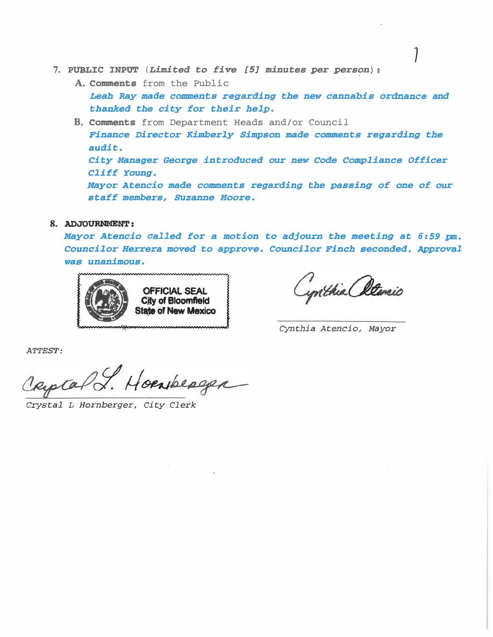- 7. PUBLIC INPUT (Limited to five [5] minutes per person):
	- A. Comments from the Public

Leah Ray made comments regarding the new cannabis ordnance and thanked the city for their help.

B. Comments from Department Heads and/or Council Finance Director Kimberly Simpson made comments regarding the audit. City Manager George introduced our new Code Compliance Officer Cliff Young. Mayor Atencio made comments regarding the passing of one of our staff members, Suzanne Moore.

## 8. ADJOURNMENT:

Mayor Atencio called for a motion to adjourn the meeting at 6:59 pm. Councilor Herrera moved to approve. Councilor Finch seconded. Approval was unanimous.



ynthia Atencio

Cynthia Atencio, Mayor

ATTEST:

Captal J. Hoenberger

Crystal L Hornberger, City Clerk